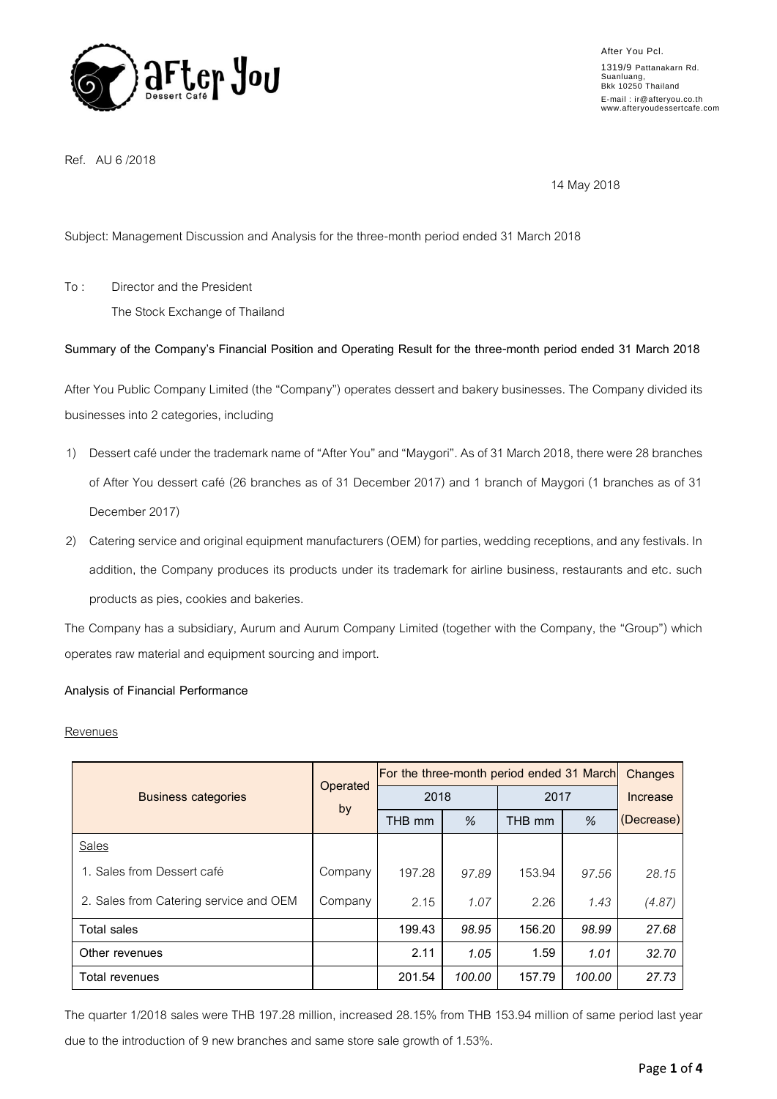

Ref. AU 6 /2018

14 May 2018

Subject: Management Discussion and Analysis for the three-month period ended 31 March 2018

To : Director and the President

The Stock Exchange of Thailand

# **Summary of the Company's Financial Position and Operating Result for the three-month period ended 31 March 2018**

After You Public Company Limited (the "Company") operates dessert and bakery businesses. The Company divided its businesses into 2 categories, including

- 1) Dessert café under the trademark name of "After You" and "Maygori". As of 31 March 2018, there were 28 branches of After You dessert café (26 branches as of 31 December 2017) and 1 branch of Maygori (1 branches as of 31 December 2017)
- 2) Catering service and original equipment manufacturers (OEM) for parties, wedding receptions, and any festivals. In addition, the Company produces its products under its trademark for airline business, restaurants and etc. such products as pies, cookies and bakeries.

The Company has a subsidiary, Aurum and Aurum Company Limited (together with the Company, the "Group") which operates raw material and equipment sourcing and import.

# **Analysis of Financial Performance**

# **Revenues**

| <b>Business categories</b>             | Operated<br>by | For the three-month period ended 31 March |        |        |        | Changes    |
|----------------------------------------|----------------|-------------------------------------------|--------|--------|--------|------------|
|                                        |                | 2018                                      |        | 2017   |        | Increase   |
|                                        |                | THB mm                                    | %      | THB mm | %      | (Decrease) |
| Sales                                  |                |                                           |        |        |        |            |
| 1. Sales from Dessert café             | Company        | 197.28                                    | 97.89  | 153.94 | 97.56  | 28.15      |
| 2. Sales from Catering service and OEM | Company        | 2.15                                      | 1.07   | 2.26   | 1.43   | (4.87)     |
| <b>Total sales</b>                     |                | 199.43                                    | 98.95  | 156.20 | 98.99  | 27.68      |
| Other revenues                         |                | 2.11                                      | 1.05   | 1.59   | 1.01   | 32.70      |
| Total revenues                         |                | 201.54                                    | 100.00 | 157.79 | 100.00 | 27.73      |

The quarter 1/2018 sales were THB 197.28 million, increased 28.15% from THB 153.94 million of same period last year due to the introduction of 9 new branches and same store sale growth of 1.53%.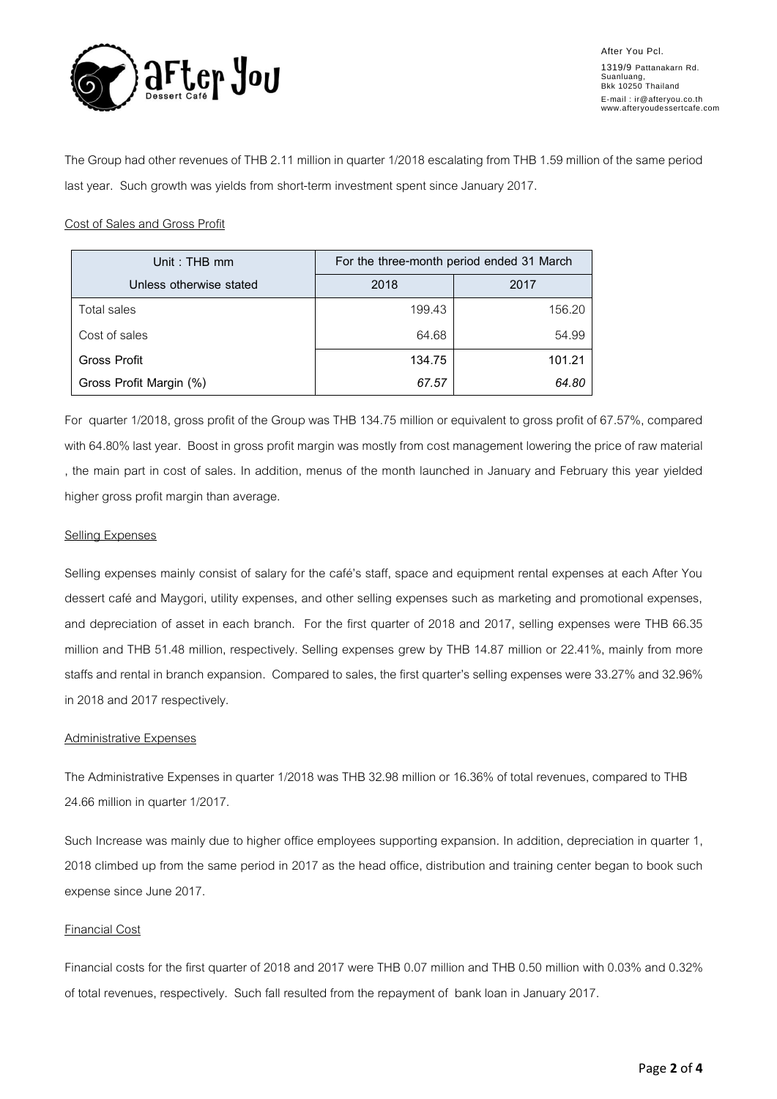

The Group had other revenues of THB 2.11 million in quarter 1/2018 escalating from THB 1.59 million of the same period last year. Such growth was yields from short-term investment spent since January 2017.

## Cost of Sales and Gross Profit

| Unit: THB mm            | For the three-month period ended 31 March |        |  |
|-------------------------|-------------------------------------------|--------|--|
| Unless otherwise stated | 2018                                      | 2017   |  |
| Total sales             | 199.43                                    | 156.20 |  |
| Cost of sales           | 64.68                                     | 54.99  |  |
| Gross Profit            | 134.75                                    | 101.21 |  |
| Gross Profit Margin (%) | 67.57                                     | 64.80  |  |

For quarter 1/2018, gross profit of the Group was THB 134.75 million or equivalent to gross profit of 67.57%, compared with 64.80% last year. Boost in gross profit margin was mostly from cost management lowering the price of raw material , the main part in cost of sales. In addition, menus of the month launched in January and February this year yielded higher gross profit margin than average.

### Selling Expenses

Selling expenses mainly consist of salary for the café's staff, space and equipment rental expenses at each After You dessert café and Maygori, utility expenses, and other selling expenses such as marketing and promotional expenses, and depreciation of asset in each branch. For the first quarter of 2018 and 2017, selling expenses were THB 66.35 million and THB 51.48 million, respectively. Selling expenses grew by THB 14.87 million or 22.41%, mainly from more staffs and rental in branch expansion. Compared to sales, the first quarter's selling expenses were 33.27% and 32.96% in 2018 and 2017 respectively.

#### Administrative Expenses

The Administrative Expenses in quarter 1/2018 was THB 32.98 million or 16.36% of total revenues, compared to THB 24.66 million in quarter 1/2017.

Such Increase was mainly due to higher office employees supporting expansion. In addition, depreciation in quarter 1, 2018 climbed up from the same period in 2017 as the head office, distribution and training center began to book such expense since June 2017.

# Financial Cost

Financial costs for the first quarter of 2018 and 2017 were THB 0.07 million and THB 0.50 million with 0.03% and 0.32% of total revenues, respectively. Such fall resulted from the repayment of bank loanin January 2017.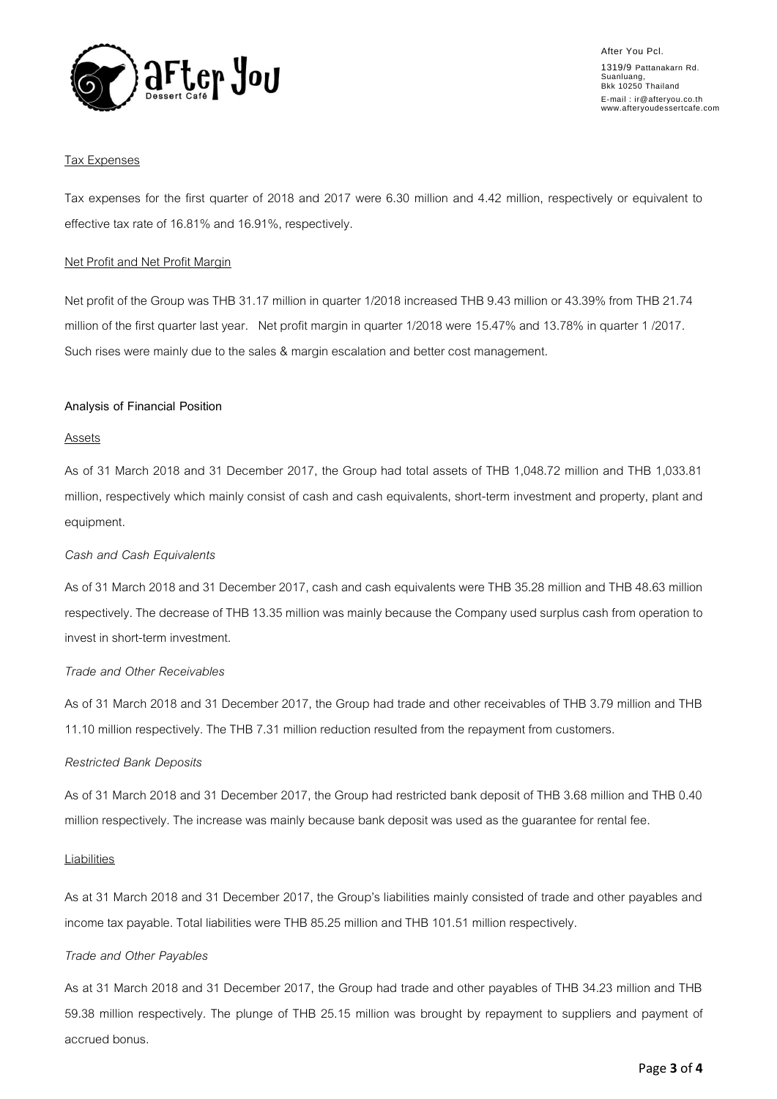

### Tax Expenses

Tax expenses for the first quarter of 2018 and 2017 were 6.30 million and 4.42 million, respectively or equivalent to effective tax rate of 16.81% and 16.91%, respectively.

### Net Profit and Net Profit Margin

Net profit of the Group was THB 31.17 million in quarter 1/2018 increased THB 9.43 million or 43.39% from THB 21.74 million of the first quarter last year. Net profit margin in quarter 1/2018 were 15.47% and 13.78% in quarter 1 /2017. Such rises were mainly due to the sales & margin escalation and better cost management.

### **Analysis of Financial Position**

### Assets

As of 31 March 2018 and 31 December 2017, the Group had total assets of THB 1,048.72 million and THB 1,033.81 million, respectively which mainly consist of cash and cash equivalents, short-term investment and property, plant and equipment.

#### *Cash and Cash Equivalents*

As of 31 March 2018 and 31 December 2017, cash and cash equivalents were THB 35.28 million and THB 48.63 million respectively. The decrease of THB 13.35 million was mainly because the Company used surplus cash from operation to invest in short-term investment.

#### *Trade and Other Receivables*

As of 31 March 2018 and 31 December 2017, the Group had trade and other receivables of THB 3.79 million and THB 11.10 million respectively. The THB 7.31 million reduction resulted from the repayment from customers.

#### *Restricted Bank Deposits*

As of 31 March 2018 and 31 December 2017, the Group had restricted bank deposit of THB 3.68 million and THB 0.40 million respectively. The increase was mainly because bank deposit was used as the guarantee for rental fee.

#### **Liabilities**

As at 31 March 2018 and 31 December 2017, the Group's liabilities mainly consisted of trade and other payables and income tax payable. Total liabilities were THB 85.25 million and THB 101.51 million respectively.

# *Trade and Other Payables*

As at 31 March 2018 and 31 December 2017, the Group had trade and other payables of THB 34.23 million and THB 59.38 million respectively. The plunge of THB 25.15 million was brought by repayment to suppliers and payment of accrued bonus.